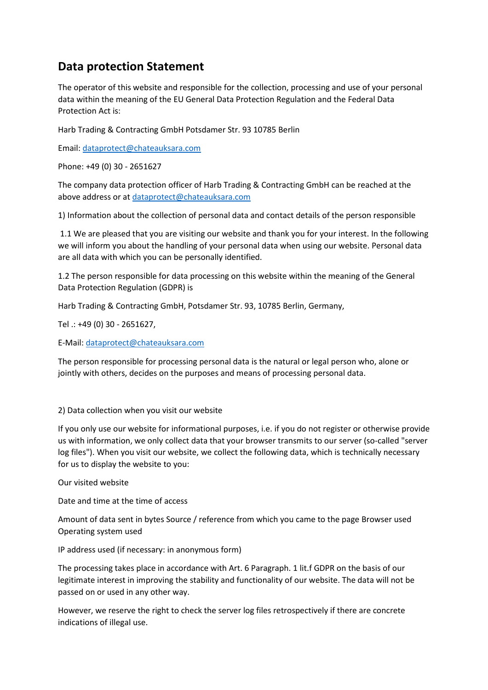# **Data protection Statement**

The operator of this website and responsible for the collection, processing and use of your personal data within the meaning of the EU General Data Protection Regulation and the Federal Data Protection Act is:

Harb Trading & Contracting GmbH Potsdamer Str. 93 10785 Berlin

Email: [dataprotect@chateauksara.com](mailto:dataprotect@chateauksara.com)

Phone: +49 (0) 30 - 2651627

The company data protection officer of Harb Trading & Contracting GmbH can be reached at the above address or at [dataprotect@chateauksara.com](mailto:dataprotect@chateauksara.com)

1) Information about the collection of personal data and contact details of the person responsible

1.1 We are pleased that you are visiting our website and thank you for your interest. In the following we will inform you about the handling of your personal data when using our website. Personal data are all data with which you can be personally identified.

1.2 The person responsible for data processing on this website within the meaning of the General Data Protection Regulation (GDPR) is

Harb Trading & Contracting GmbH, Potsdamer Str. 93, 10785 Berlin, Germany,

Tel .: +49 (0) 30 - 2651627,

E-Mail[: dataprotect@chateauksara.com](mailto:dataprotect@chateauksara.com)

The person responsible for processing personal data is the natural or legal person who, alone or jointly with others, decides on the purposes and means of processing personal data.

#### 2) Data collection when you visit our website

If you only use our website for informational purposes, i.e. if you do not register or otherwise provide us with information, we only collect data that your browser transmits to our server (so-called "server log files"). When you visit our website, we collect the following data, which is technically necessary for us to display the website to you:

Our visited website

Date and time at the time of access

Amount of data sent in bytes Source / reference from which you came to the page Browser used Operating system used

IP address used (if necessary: in anonymous form)

The processing takes place in accordance with Art. 6 Paragraph. 1 lit.f GDPR on the basis of our legitimate interest in improving the stability and functionality of our website. The data will not be passed on or used in any other way.

However, we reserve the right to check the server log files retrospectively if there are concrete indications of illegal use.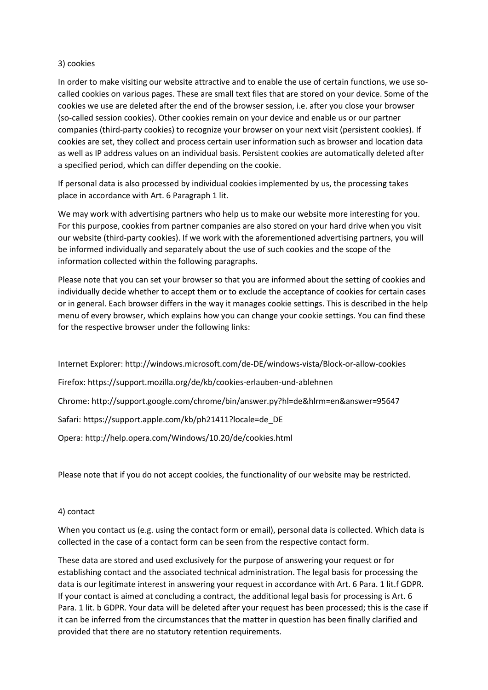## 3) cookies

In order to make visiting our website attractive and to enable the use of certain functions, we use socalled cookies on various pages. These are small text files that are stored on your device. Some of the cookies we use are deleted after the end of the browser session, i.e. after you close your browser (so-called session cookies). Other cookies remain on your device and enable us or our partner companies (third-party cookies) to recognize your browser on your next visit (persistent cookies). If cookies are set, they collect and process certain user information such as browser and location data as well as IP address values on an individual basis. Persistent cookies are automatically deleted after a specified period, which can differ depending on the cookie.

If personal data is also processed by individual cookies implemented by us, the processing takes place in accordance with Art. 6 Paragraph 1 lit.

We may work with advertising partners who help us to make our website more interesting for you. For this purpose, cookies from partner companies are also stored on your hard drive when you visit our website (third-party cookies). If we work with the aforementioned advertising partners, you will be informed individually and separately about the use of such cookies and the scope of the information collected within the following paragraphs.

Please note that you can set your browser so that you are informed about the setting of cookies and individually decide whether to accept them or to exclude the acceptance of cookies for certain cases or in general. Each browser differs in the way it manages cookie settings. This is described in the help menu of every browser, which explains how you can change your cookie settings. You can find these for the respective browser under the following links:

Internet Explorer: http://windows.microsoft.com/de-DE/windows-vista/Block-or-allow-cookies Firefox: https://support.mozilla.org/de/kb/cookies-erlauben-und-ablehnen Chrome: http://support.google.com/chrome/bin/answer.py?hl=de&hlrm=en&answer=95647 Safari: https://support.apple.com/kb/ph21411?locale=de\_DE Opera: http://help.opera.com/Windows/10.20/de/cookies.html

Please note that if you do not accept cookies, the functionality of our website may be restricted.

# 4) contact

When you contact us (e.g. using the contact form or email), personal data is collected. Which data is collected in the case of a contact form can be seen from the respective contact form.

These data are stored and used exclusively for the purpose of answering your request or for establishing contact and the associated technical administration. The legal basis for processing the data is our legitimate interest in answering your request in accordance with Art. 6 Para. 1 lit.f GDPR. If your contact is aimed at concluding a contract, the additional legal basis for processing is Art. 6 Para. 1 lit. b GDPR. Your data will be deleted after your request has been processed; this is the case if it can be inferred from the circumstances that the matter in question has been finally clarified and provided that there are no statutory retention requirements.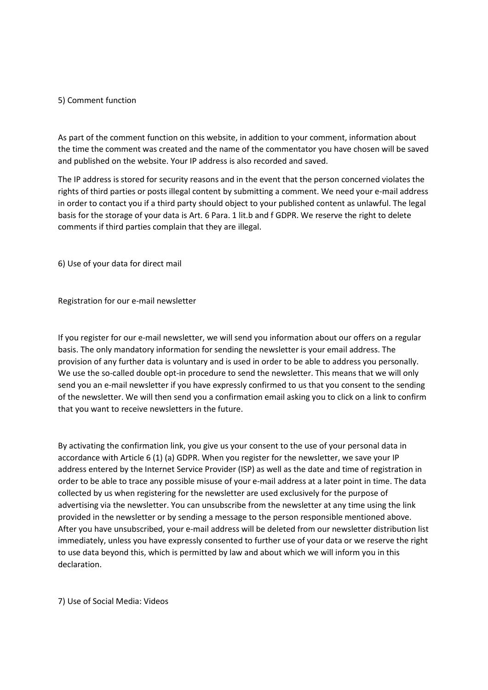#### 5) Comment function

As part of the comment function on this website, in addition to your comment, information about the time the comment was created and the name of the commentator you have chosen will be saved and published on the website. Your IP address is also recorded and saved.

The IP address is stored for security reasons and in the event that the person concerned violates the rights of third parties or posts illegal content by submitting a comment. We need your e-mail address in order to contact you if a third party should object to your published content as unlawful. The legal basis for the storage of your data is Art. 6 Para. 1 lit.b and f GDPR. We reserve the right to delete comments if third parties complain that they are illegal.

6) Use of your data for direct mail

Registration for our e-mail newsletter

If you register for our e-mail newsletter, we will send you information about our offers on a regular basis. The only mandatory information for sending the newsletter is your email address. The provision of any further data is voluntary and is used in order to be able to address you personally. We use the so-called double opt-in procedure to send the newsletter. This means that we will only send you an e-mail newsletter if you have expressly confirmed to us that you consent to the sending of the newsletter. We will then send you a confirmation email asking you to click on a link to confirm that you want to receive newsletters in the future.

By activating the confirmation link, you give us your consent to the use of your personal data in accordance with Article 6 (1) (a) GDPR. When you register for the newsletter, we save your IP address entered by the Internet Service Provider (ISP) as well as the date and time of registration in order to be able to trace any possible misuse of your e-mail address at a later point in time. The data collected by us when registering for the newsletter are used exclusively for the purpose of advertising via the newsletter. You can unsubscribe from the newsletter at any time using the link provided in the newsletter or by sending a message to the person responsible mentioned above. After you have unsubscribed, your e-mail address will be deleted from our newsletter distribution list immediately, unless you have expressly consented to further use of your data or we reserve the right to use data beyond this, which is permitted by law and about which we will inform you in this declaration.

7) Use of Social Media: Videos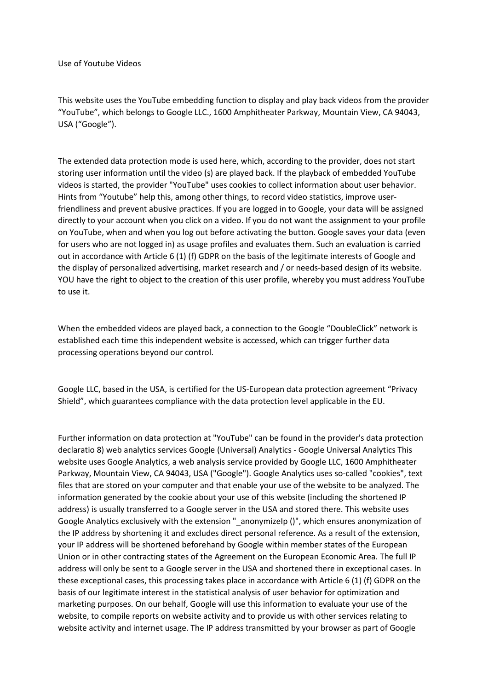Use of Youtube Videos

This website uses the YouTube embedding function to display and play back videos from the provider "YouTube", which belongs to Google LLC., 1600 Amphitheater Parkway, Mountain View, CA 94043, USA ("Google").

The extended data protection mode is used here, which, according to the provider, does not start storing user information until the video (s) are played back. If the playback of embedded YouTube videos is started, the provider "YouTube" uses cookies to collect information about user behavior. Hints from "Youtube" help this, among other things, to record video statistics, improve userfriendliness and prevent abusive practices. If you are logged in to Google, your data will be assigned directly to your account when you click on a video. If you do not want the assignment to your profile on YouTube, when and when you log out before activating the button. Google saves your data (even for users who are not logged in) as usage profiles and evaluates them. Such an evaluation is carried out in accordance with Article 6 (1) (f) GDPR on the basis of the legitimate interests of Google and the display of personalized advertising, market research and / or needs-based design of its website. YOU have the right to object to the creation of this user profile, whereby you must address YouTube to use it.

When the embedded videos are played back, a connection to the Google "DoubleClick" network is established each time this independent website is accessed, which can trigger further data processing operations beyond our control.

Google LLC, based in the USA, is certified for the US-European data protection agreement "Privacy Shield", which guarantees compliance with the data protection level applicable in the EU.

Further information on data protection at "YouTube" can be found in the provider's data protection declaratio 8) web analytics services Google (Universal) Analytics - Google Universal Analytics This website uses Google Analytics, a web analysis service provided by Google LLC, 1600 Amphitheater Parkway, Mountain View, CA 94043, USA ("Google"). Google Analytics uses so-called "cookies", text files that are stored on your computer and that enable your use of the website to be analyzed. The information generated by the cookie about your use of this website (including the shortened IP address) is usually transferred to a Google server in the USA and stored there. This website uses Google Analytics exclusively with the extension "\_anonymizeIp ()", which ensures anonymization of the IP address by shortening it and excludes direct personal reference. As a result of the extension, your IP address will be shortened beforehand by Google within member states of the European Union or in other contracting states of the Agreement on the European Economic Area. The full IP address will only be sent to a Google server in the USA and shortened there in exceptional cases. In these exceptional cases, this processing takes place in accordance with Article 6 (1) (f) GDPR on the basis of our legitimate interest in the statistical analysis of user behavior for optimization and marketing purposes. On our behalf, Google will use this information to evaluate your use of the website, to compile reports on website activity and to provide us with other services relating to website activity and internet usage. The IP address transmitted by your browser as part of Google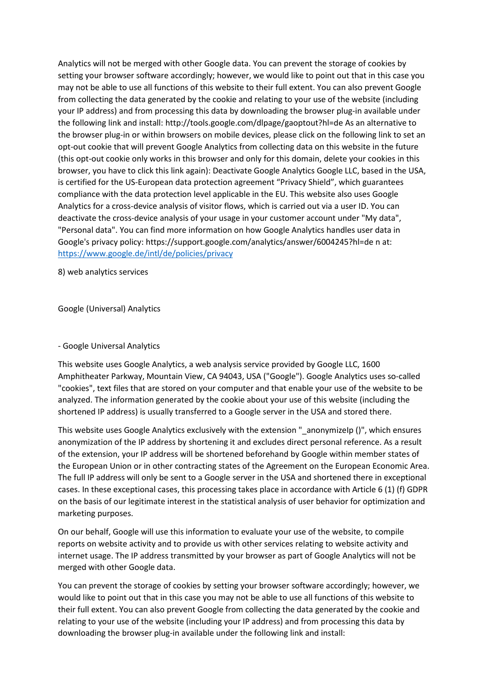Analytics will not be merged with other Google data. You can prevent the storage of cookies by setting your browser software accordingly; however, we would like to point out that in this case you may not be able to use all functions of this website to their full extent. You can also prevent Google from collecting the data generated by the cookie and relating to your use of the website (including your IP address) and from processing this data by downloading the browser plug-in available under the following link and install: http://tools.google.com/dlpage/gaoptout?hl=de As an alternative to the browser plug-in or within browsers on mobile devices, please click on the following link to set an opt-out cookie that will prevent Google Analytics from collecting data on this website in the future (this opt-out cookie only works in this browser and only for this domain, delete your cookies in this browser, you have to click this link again): Deactivate Google Analytics Google LLC, based in the USA, is certified for the US-European data protection agreement "Privacy Shield", which guarantees compliance with the data protection level applicable in the EU. This website also uses Google Analytics for a cross-device analysis of visitor flows, which is carried out via a user ID. You can deactivate the cross-device analysis of your usage in your customer account under "My data", "Personal data". You can find more information on how Google Analytics handles user data in Google's privacy policy: https://support.google.com/analytics/answer/6004245?hl=de n at: <https://www.google.de/intl/de/policies/privacy>

8) web analytics services

Google (Universal) Analytics

#### - Google Universal Analytics

This website uses Google Analytics, a web analysis service provided by Google LLC, 1600 Amphitheater Parkway, Mountain View, CA 94043, USA ("Google"). Google Analytics uses so-called "cookies", text files that are stored on your computer and that enable your use of the website to be analyzed. The information generated by the cookie about your use of this website (including the shortened IP address) is usually transferred to a Google server in the USA and stored there.

This website uses Google Analytics exclusively with the extension "\_anonymizeIp ()", which ensures anonymization of the IP address by shortening it and excludes direct personal reference. As a result of the extension, your IP address will be shortened beforehand by Google within member states of the European Union or in other contracting states of the Agreement on the European Economic Area. The full IP address will only be sent to a Google server in the USA and shortened there in exceptional cases. In these exceptional cases, this processing takes place in accordance with Article 6 (1) (f) GDPR on the basis of our legitimate interest in the statistical analysis of user behavior for optimization and marketing purposes.

On our behalf, Google will use this information to evaluate your use of the website, to compile reports on website activity and to provide us with other services relating to website activity and internet usage. The IP address transmitted by your browser as part of Google Analytics will not be merged with other Google data.

You can prevent the storage of cookies by setting your browser software accordingly; however, we would like to point out that in this case you may not be able to use all functions of this website to their full extent. You can also prevent Google from collecting the data generated by the cookie and relating to your use of the website (including your IP address) and from processing this data by downloading the browser plug-in available under the following link and install: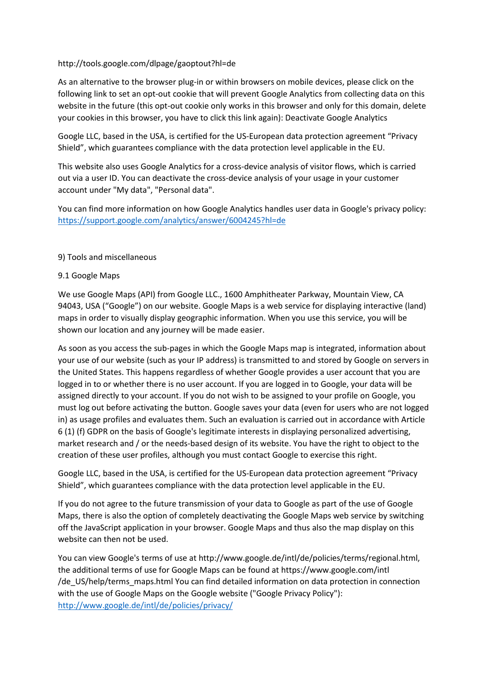### http://tools.google.com/dlpage/gaoptout?hl=de

As an alternative to the browser plug-in or within browsers on mobile devices, please click on the following link to set an opt-out cookie that will prevent Google Analytics from collecting data on this website in the future (this opt-out cookie only works in this browser and only for this domain, delete your cookies in this browser, you have to click this link again): Deactivate Google Analytics

Google LLC, based in the USA, is certified for the US-European data protection agreement "Privacy Shield", which guarantees compliance with the data protection level applicable in the EU.

This website also uses Google Analytics for a cross-device analysis of visitor flows, which is carried out via a user ID. You can deactivate the cross-device analysis of your usage in your customer account under "My data", "Personal data".

You can find more information on how Google Analytics handles user data in Google's privacy policy: <https://support.google.com/analytics/answer/6004245?hl=de>

#### 9) Tools and miscellaneous

### 9.1 Google Maps

We use Google Maps (API) from Google LLC., 1600 Amphitheater Parkway, Mountain View, CA 94043, USA ("Google") on our website. Google Maps is a web service for displaying interactive (land) maps in order to visually display geographic information. When you use this service, you will be shown our location and any journey will be made easier.

As soon as you access the sub-pages in which the Google Maps map is integrated, information about your use of our website (such as your IP address) is transmitted to and stored by Google on servers in the United States. This happens regardless of whether Google provides a user account that you are logged in to or whether there is no user account. If you are logged in to Google, your data will be assigned directly to your account. If you do not wish to be assigned to your profile on Google, you must log out before activating the button. Google saves your data (even for users who are not logged in) as usage profiles and evaluates them. Such an evaluation is carried out in accordance with Article 6 (1) (f) GDPR on the basis of Google's legitimate interests in displaying personalized advertising, market research and / or the needs-based design of its website. You have the right to object to the creation of these user profiles, although you must contact Google to exercise this right.

Google LLC, based in the USA, is certified for the US-European data protection agreement "Privacy Shield", which guarantees compliance with the data protection level applicable in the EU.

If you do not agree to the future transmission of your data to Google as part of the use of Google Maps, there is also the option of completely deactivating the Google Maps web service by switching off the JavaScript application in your browser. Google Maps and thus also the map display on this website can then not be used.

You can view Google's terms of use at http://www.google.de/intl/de/policies/terms/regional.html, the additional terms of use for Google Maps can be found at https://www.google.com/intl /de\_US/help/terms\_maps.html You can find detailed information on data protection in connection with the use of Google Maps on the Google website ("Google Privacy Policy"): <http://www.google.de/intl/de/policies/privacy/>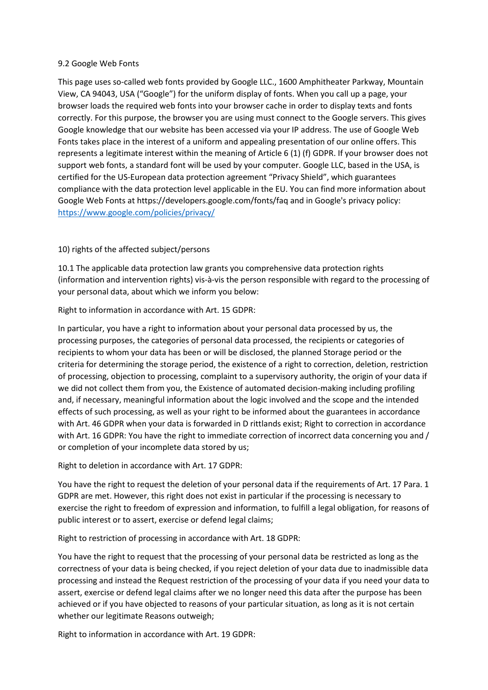### 9.2 Google Web Fonts

This page uses so-called web fonts provided by Google LLC., 1600 Amphitheater Parkway, Mountain View, CA 94043, USA ("Google") for the uniform display of fonts. When you call up a page, your browser loads the required web fonts into your browser cache in order to display texts and fonts correctly. For this purpose, the browser you are using must connect to the Google servers. This gives Google knowledge that our website has been accessed via your IP address. The use of Google Web Fonts takes place in the interest of a uniform and appealing presentation of our online offers. This represents a legitimate interest within the meaning of Article 6 (1) (f) GDPR. If your browser does not support web fonts, a standard font will be used by your computer. Google LLC, based in the USA, is certified for the US-European data protection agreement "Privacy Shield", which guarantees compliance with the data protection level applicable in the EU. You can find more information about Google Web Fonts at https://developers.google.com/fonts/faq and in Google's privacy policy: <https://www.google.com/policies/privacy/>

# 10) rights of the affected subject/persons

10.1 The applicable data protection law grants you comprehensive data protection rights (information and intervention rights) vis-à-vis the person responsible with regard to the processing of your personal data, about which we inform you below:

Right to information in accordance with Art. 15 GDPR:

In particular, you have a right to information about your personal data processed by us, the processing purposes, the categories of personal data processed, the recipients or categories of recipients to whom your data has been or will be disclosed, the planned Storage period or the criteria for determining the storage period, the existence of a right to correction, deletion, restriction of processing, objection to processing, complaint to a supervisory authority, the origin of your data if we did not collect them from you, the Existence of automated decision-making including profiling and, if necessary, meaningful information about the logic involved and the scope and the intended effects of such processing, as well as your right to be informed about the guarantees in accordance with Art. 46 GDPR when your data is forwarded in D rittlands exist; Right to correction in accordance with Art. 16 GDPR: You have the right to immediate correction of incorrect data concerning you and / or completion of your incomplete data stored by us;

Right to deletion in accordance with Art. 17 GDPR:

You have the right to request the deletion of your personal data if the requirements of Art. 17 Para. 1 GDPR are met. However, this right does not exist in particular if the processing is necessary to exercise the right to freedom of expression and information, to fulfill a legal obligation, for reasons of public interest or to assert, exercise or defend legal claims;

Right to restriction of processing in accordance with Art. 18 GDPR:

You have the right to request that the processing of your personal data be restricted as long as the correctness of your data is being checked, if you reject deletion of your data due to inadmissible data processing and instead the Request restriction of the processing of your data if you need your data to assert, exercise or defend legal claims after we no longer need this data after the purpose has been achieved or if you have objected to reasons of your particular situation, as long as it is not certain whether our legitimate Reasons outweigh;

Right to information in accordance with Art. 19 GDPR: